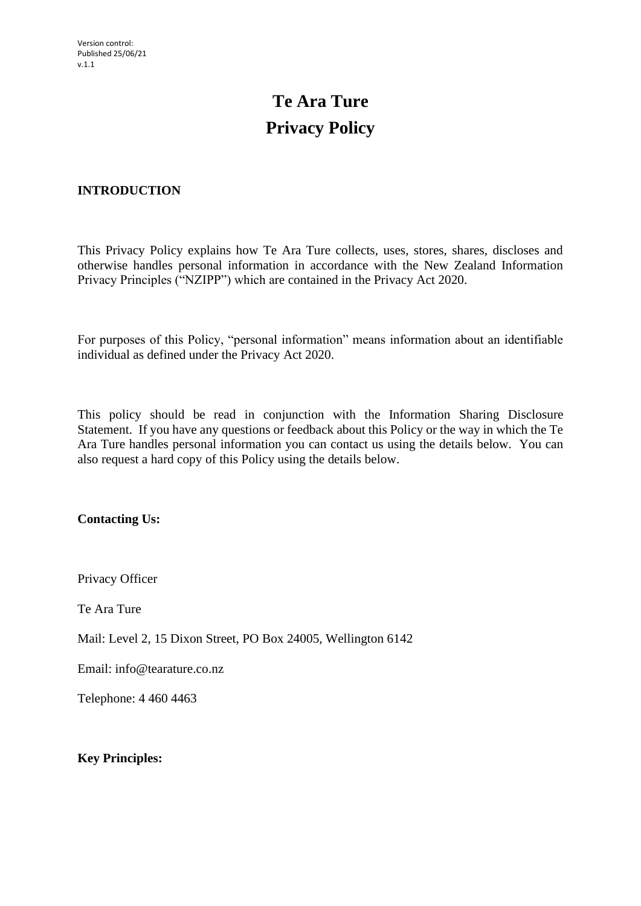# **Te Ara Ture Privacy Policy**

# **INTRODUCTION**

This Privacy Policy explains how Te Ara Ture collects, uses, stores, shares, discloses and otherwise handles personal information in accordance with the New Zealand Information Privacy Principles ("NZIPP") which are contained in the Privacy Act 2020.

For purposes of this Policy, "personal information" means information about an identifiable individual as defined under the Privacy Act 2020.

This policy should be read in conjunction with the Information Sharing Disclosure Statement. If you have any questions or feedback about this Policy or the way in which the Te Ara Ture handles personal information you can contact us using the details below. You can also request a hard copy of this Policy using the details below.

**Contacting Us:**

Privacy Officer

Te Ara Ture

Mail: Level 2, 15 Dixon Street, PO Box 24005, Wellington 6142

Email: info@tearature.co.nz

Telephone: 4 460 4463

**Key Principles:**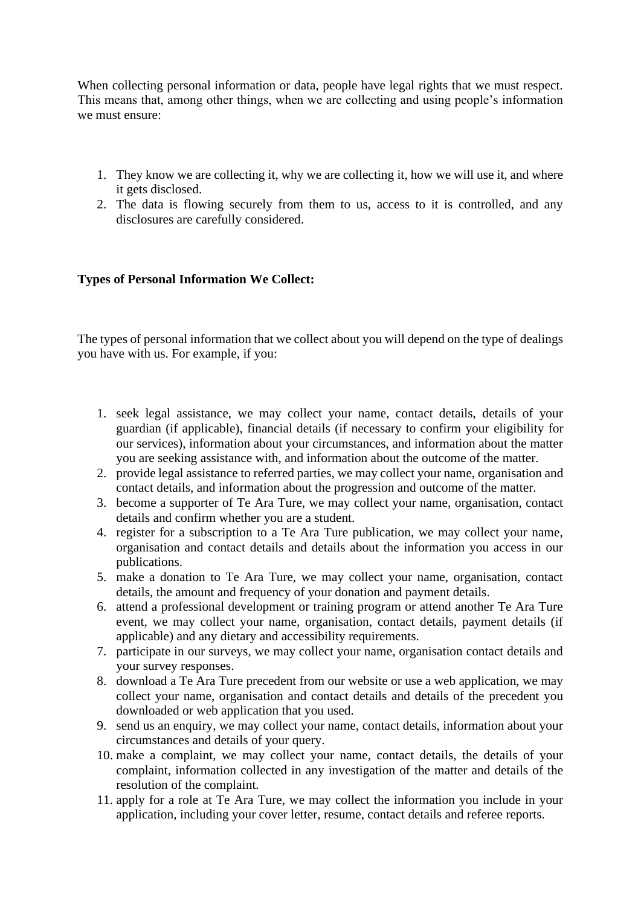When collecting personal information or data, people have legal rights that we must respect. This means that, among other things, when we are collecting and using people's information we must ensure:

- 1. They know we are collecting it, why we are collecting it, how we will use it, and where it gets disclosed.
- 2. The data is flowing securely from them to us, access to it is controlled, and any disclosures are carefully considered.

## **Types of Personal Information We Collect:**

The types of personal information that we collect about you will depend on the type of dealings you have with us. For example, if you:

- 1. seek legal assistance, we may collect your name, contact details, details of your guardian (if applicable), financial details (if necessary to confirm your eligibility for our services), information about your circumstances, and information about the matter you are seeking assistance with, and information about the outcome of the matter.
- 2. provide legal assistance to referred parties, we may collect your name, organisation and contact details, and information about the progression and outcome of the matter.
- 3. become a supporter of Te Ara Ture, we may collect your name, organisation, contact details and confirm whether you are a student.
- 4. register for a subscription to a Te Ara Ture publication, we may collect your name, organisation and contact details and details about the information you access in our publications.
- 5. make a donation to Te Ara Ture, we may collect your name, organisation, contact details, the amount and frequency of your donation and payment details.
- 6. attend a professional development or training program or attend another Te Ara Ture event, we may collect your name, organisation, contact details, payment details (if applicable) and any dietary and accessibility requirements.
- 7. participate in our surveys, we may collect your name, organisation contact details and your survey responses.
- 8. download a Te Ara Ture precedent from our website or use a web application, we may collect your name, organisation and contact details and details of the precedent you downloaded or web application that you used.
- 9. send us an enquiry, we may collect your name, contact details, information about your circumstances and details of your query.
- 10. make a complaint, we may collect your name, contact details, the details of your complaint, information collected in any investigation of the matter and details of the resolution of the complaint.
- 11. apply for a role at Te Ara Ture, we may collect the information you include in your application, including your cover letter, resume, contact details and referee reports.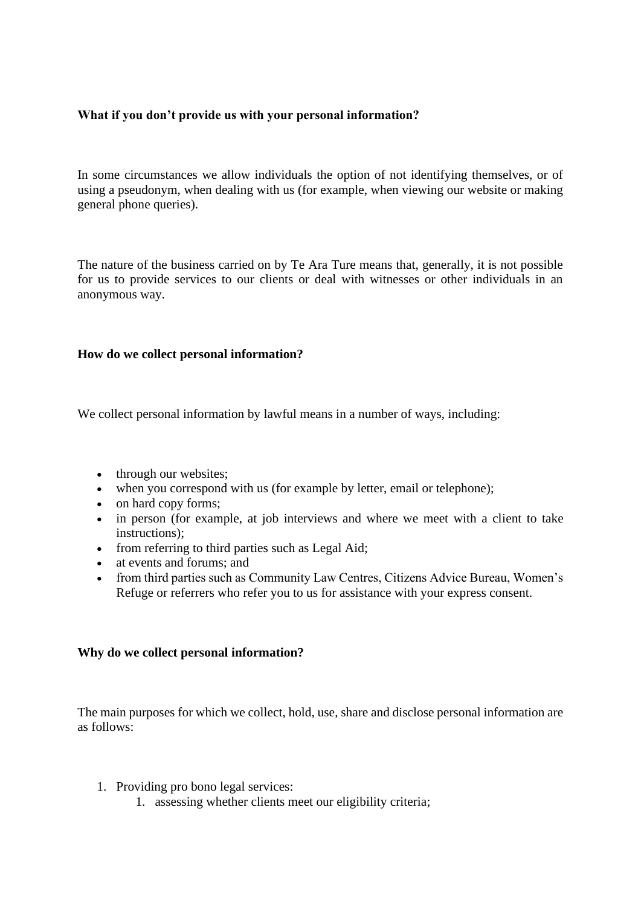## **What if you don't provide us with your personal information?**

In some circumstances we allow individuals the option of not identifying themselves, or of using a pseudonym, when dealing with us (for example, when viewing our website or making general phone queries).

The nature of the business carried on by Te Ara Ture means that, generally, it is not possible for us to provide services to our clients or deal with witnesses or other individuals in an anonymous way.

## **How do we collect personal information?**

We collect personal information by lawful means in a number of ways, including:

- through our websites;
- when you correspond with us (for example by letter, email or telephone);
- on hard copy forms:
- in person (for example, at job interviews and where we meet with a client to take instructions);
- from referring to third parties such as Legal Aid;
- at events and forums; and
- from third parties such as Community Law Centres, Citizens Advice Bureau, Women's Refuge or referrers who refer you to us for assistance with your express consent.

## **Why do we collect personal information?**

The main purposes for which we collect, hold, use, share and disclose personal information are as follows:

- 1. Providing pro bono legal services:
	- 1. assessing whether clients meet our eligibility criteria;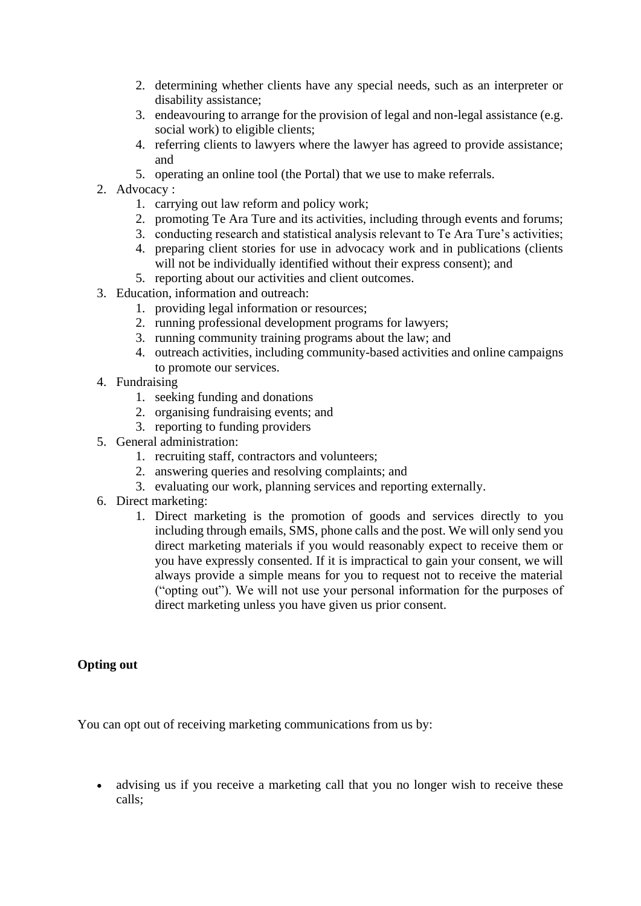- 2. determining whether clients have any special needs, such as an interpreter or disability assistance;
- 3. endeavouring to arrange for the provision of legal and non-legal assistance (e.g. social work) to eligible clients;
- 4. referring clients to lawyers where the lawyer has agreed to provide assistance; and
- 5. operating an online tool (the Portal) that we use to make referrals.
- 2. Advocacy :
	- 1. carrying out law reform and policy work;
	- 2. promoting Te Ara Ture and its activities, including through events and forums;
	- 3. conducting research and statistical analysis relevant to Te Ara Ture's activities;
	- 4. preparing client stories for use in advocacy work and in publications (clients will not be individually identified without their express consent); and
	- 5. reporting about our activities and client outcomes.
- 3. Education, information and outreach:
	- 1. providing legal information or resources;
	- 2. running professional development programs for lawyers;
	- 3. running community training programs about the law; and
	- 4. outreach activities, including community-based activities and online campaigns to promote our services.
- 4. Fundraising
	- 1. seeking funding and donations
	- 2. organising fundraising events; and
	- 3. reporting to funding providers
- 5. General administration:
	- 1. recruiting staff, contractors and volunteers;
	- 2. answering queries and resolving complaints; and
	- 3. evaluating our work, planning services and reporting externally.
- 6. Direct marketing:
	- 1. Direct marketing is the promotion of goods and services directly to you including through emails, SMS, phone calls and the post. We will only send you direct marketing materials if you would reasonably expect to receive them or you have expressly consented. If it is impractical to gain your consent, we will always provide a simple means for you to request not to receive the material ("opting out"). We will not use your personal information for the purposes of direct marketing unless you have given us prior consent.

## **Opting out**

You can opt out of receiving marketing communications from us by:

• advising us if you receive a marketing call that you no longer wish to receive these calls;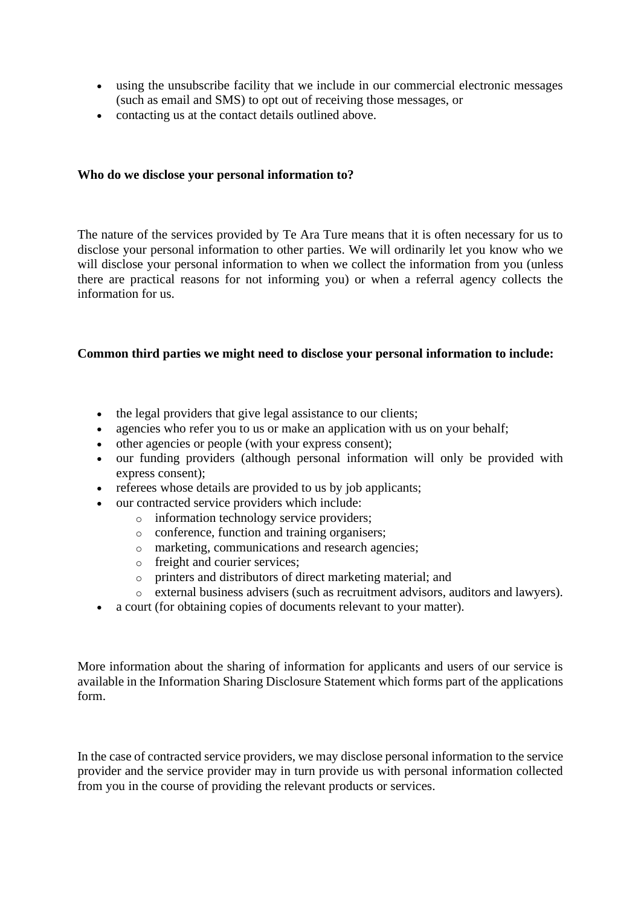- using the unsubscribe facility that we include in our commercial electronic messages (such as email and SMS) to opt out of receiving those messages, or
- contacting us at the contact details outlined above.

## **Who do we disclose your personal information to?**

The nature of the services provided by Te Ara Ture means that it is often necessary for us to disclose your personal information to other parties. We will ordinarily let you know who we will disclose your personal information to when we collect the information from you (unless there are practical reasons for not informing you) or when a referral agency collects the information for us.

## **Common third parties we might need to disclose your personal information to include:**

- the legal providers that give legal assistance to our clients;
- agencies who refer you to us or make an application with us on your behalf;
- other agencies or people (with your express consent);
- our funding providers (although personal information will only be provided with express consent);
- referees whose details are provided to us by job applicants;
- our contracted service providers which include:
	- o information technology service providers;
	- o conference, function and training organisers;
	- o marketing, communications and research agencies;
	- o freight and courier services;
	- o printers and distributors of direct marketing material; and
	- o external business advisers (such as recruitment advisors, auditors and lawyers).
- a court (for obtaining copies of documents relevant to your matter).

More information about the sharing of information for applicants and users of our service is available in the Information Sharing Disclosure Statement which forms part of the applications form.

In the case of contracted service providers, we may disclose personal information to the service provider and the service provider may in turn provide us with personal information collected from you in the course of providing the relevant products or services.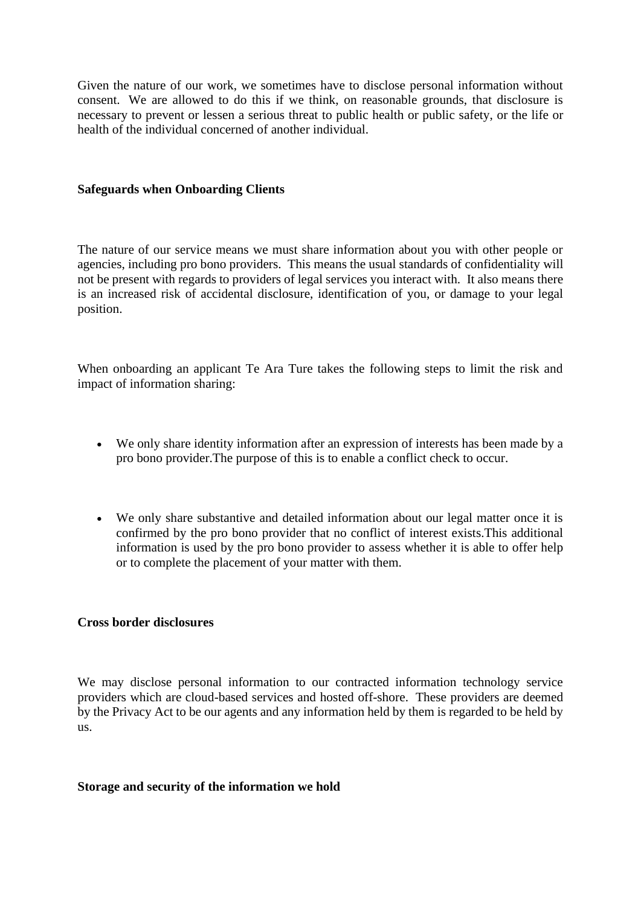Given the nature of our work, we sometimes have to disclose personal information without consent. We are allowed to do this if we think, on reasonable grounds, that disclosure is necessary to prevent or lessen a serious threat to public health or public safety, or the life or health of the individual concerned of another individual.

#### **Safeguards when Onboarding Clients**

The nature of our service means we must share information about you with other people or agencies, including pro bono providers. This means the usual standards of confidentiality will not be present with regards to providers of legal services you interact with. It also means there is an increased risk of accidental disclosure, identification of you, or damage to your legal position.

When onboarding an applicant Te Ara Ture takes the following steps to limit the risk and impact of information sharing:

- We only share identity information after an expression of interests has been made by a pro bono provider.The purpose of this is to enable a conflict check to occur.
- We only share substantive and detailed information about our legal matter once it is confirmed by the pro bono provider that no conflict of interest exists.This additional information is used by the pro bono provider to assess whether it is able to offer help or to complete the placement of your matter with them.

#### **Cross border disclosures**

We may disclose personal information to our contracted information technology service providers which are cloud-based services and hosted off-shore. These providers are deemed by the Privacy Act to be our agents and any information held by them is regarded to be held by us.

#### **Storage and security of the information we hold**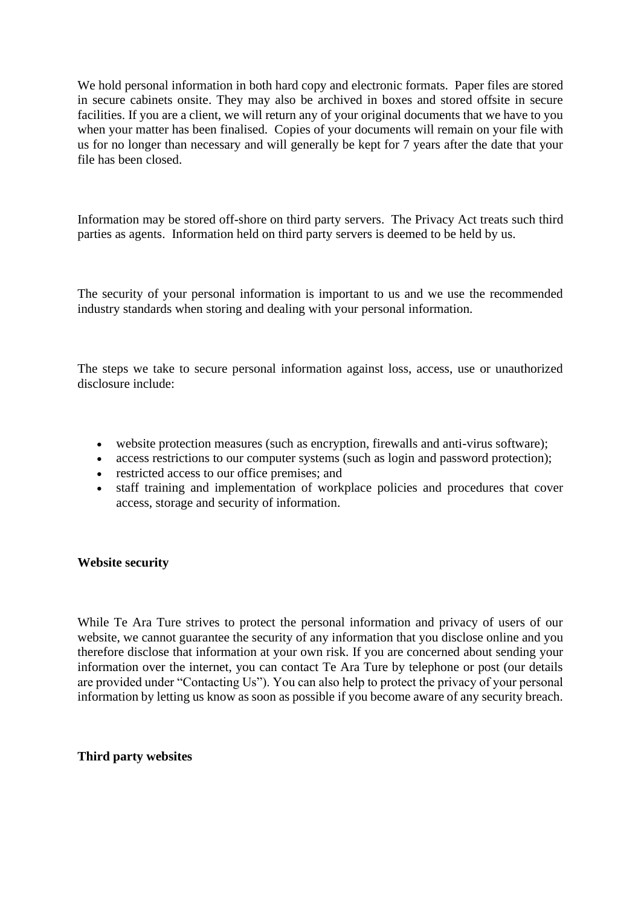We hold personal information in both hard copy and electronic formats. Paper files are stored in secure cabinets onsite. They may also be archived in boxes and stored offsite in secure facilities. If you are a client, we will return any of your original documents that we have to you when your matter has been finalised. Copies of your documents will remain on your file with us for no longer than necessary and will generally be kept for 7 years after the date that your file has been closed.

Information may be stored off-shore on third party servers. The Privacy Act treats such third parties as agents. Information held on third party servers is deemed to be held by us.

The security of your personal information is important to us and we use the recommended industry standards when storing and dealing with your personal information.

The steps we take to secure personal information against loss, access, use or unauthorized disclosure include:

- website protection measures (such as encryption, firewalls and anti-virus software);
- access restrictions to our computer systems (such as login and password protection);
- restricted access to our office premises; and
- staff training and implementation of workplace policies and procedures that cover access, storage and security of information.

## **Website security**

While Te Ara Ture strives to protect the personal information and privacy of users of our website, we cannot guarantee the security of any information that you disclose online and you therefore disclose that information at your own risk. If you are concerned about sending your information over the internet, you can contact Te Ara Ture by telephone or post (our details are provided under "Contacting Us"). You can also help to protect the privacy of your personal information by letting us know as soon as possible if you become aware of any security breach.

## **Third party websites**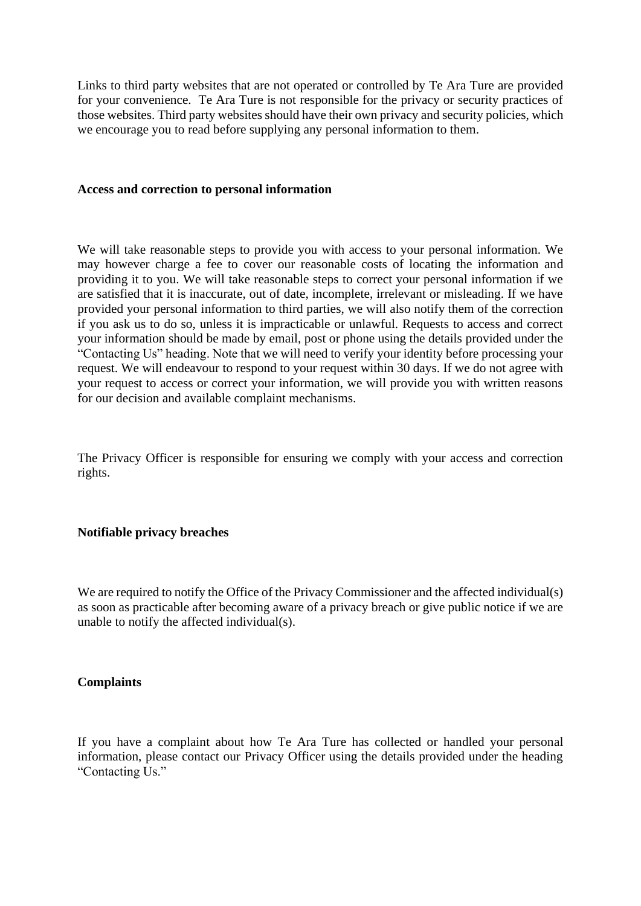Links to third party websites that are not operated or controlled by Te Ara Ture are provided for your convenience. Te Ara Ture is not responsible for the privacy or security practices of those websites. Third party websites should have their own privacy and security policies, which we encourage you to read before supplying any personal information to them.

#### **Access and correction to personal information**

We will take reasonable steps to provide you with access to your personal information. We may however charge a fee to cover our reasonable costs of locating the information and providing it to you. We will take reasonable steps to correct your personal information if we are satisfied that it is inaccurate, out of date, incomplete, irrelevant or misleading. If we have provided your personal information to third parties, we will also notify them of the correction if you ask us to do so, unless it is impracticable or unlawful. Requests to access and correct your information should be made by email, post or phone using the details provided under the "Contacting Us" heading. Note that we will need to verify your identity before processing your request. We will endeavour to respond to your request within 30 days. If we do not agree with your request to access or correct your information, we will provide you with written reasons for our decision and available complaint mechanisms.

The Privacy Officer is responsible for ensuring we comply with your access and correction rights.

#### **Notifiable privacy breaches**

We are required to notify the Office of the Privacy Commissioner and the affected individual(s) as soon as practicable after becoming aware of a privacy breach or give public notice if we are unable to notify the affected individual(s).

#### **Complaints**

If you have a complaint about how Te Ara Ture has collected or handled your personal information, please contact our Privacy Officer using the details provided under the heading "Contacting Us."